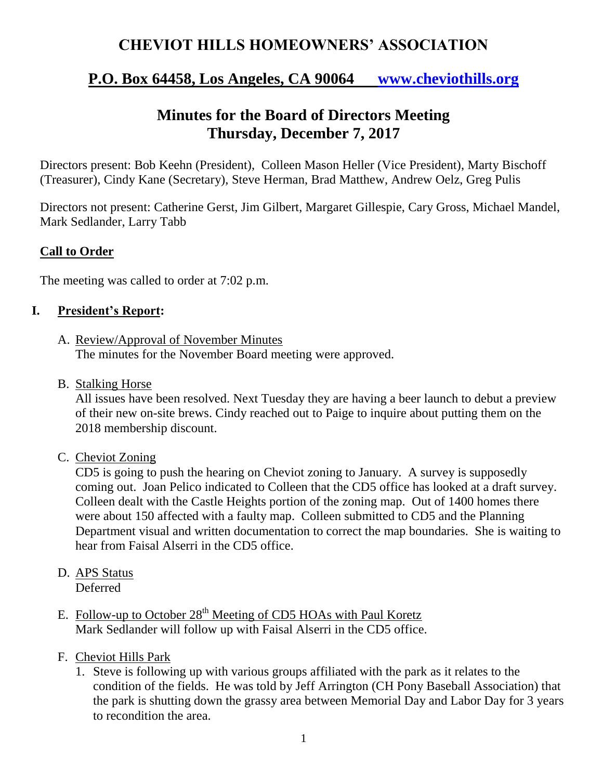## **CHEVIOT HILLS HOMEOWNERS' ASSOCIATION**

## **P.O. Box 64458, Los Angeles, CA 90064 [www.cheviothills.org](http://www.cheviothills.org/)**

# **Minutes for the Board of Directors Meeting Thursday, December 7, 2017**

Directors present: Bob Keehn (President), Colleen Mason Heller (Vice President), Marty Bischoff (Treasurer), Cindy Kane (Secretary), Steve Herman, Brad Matthew, Andrew Oelz, Greg Pulis

Directors not present: Catherine Gerst, Jim Gilbert, Margaret Gillespie, Cary Gross, Michael Mandel, Mark Sedlander, Larry Tabb

#### **Call to Order**

The meeting was called to order at 7:02 p.m.

#### **I. President's Report:**

- A. Review/Approval of November Minutes The minutes for the November Board meeting were approved.
- B. Stalking Horse

All issues have been resolved. Next Tuesday they are having a beer launch to debut a preview of their new on-site brews. Cindy reached out to Paige to inquire about putting them on the 2018 membership discount.

C. Cheviot Zoning

CD5 is going to push the hearing on Cheviot zoning to January. A survey is supposedly coming out. Joan Pelico indicated to Colleen that the CD5 office has looked at a draft survey. Colleen dealt with the Castle Heights portion of the zoning map. Out of 1400 homes there were about 150 affected with a faulty map. Colleen submitted to CD5 and the Planning Department visual and written documentation to correct the map boundaries. She is waiting to hear from Faisal Alserri in the CD5 office.

- D. APS Status Deferred
- E. Follow-up to October 28<sup>th</sup> Meeting of CD5 HOAs with Paul Koretz Mark Sedlander will follow up with Faisal Alserri in the CD5 office.
- F. Cheviot Hills Park
	- 1. Steve is following up with various groups affiliated with the park as it relates to the condition of the fields. He was told by Jeff Arrington (CH Pony Baseball Association) that the park is shutting down the grassy area between Memorial Day and Labor Day for 3 years to recondition the area.